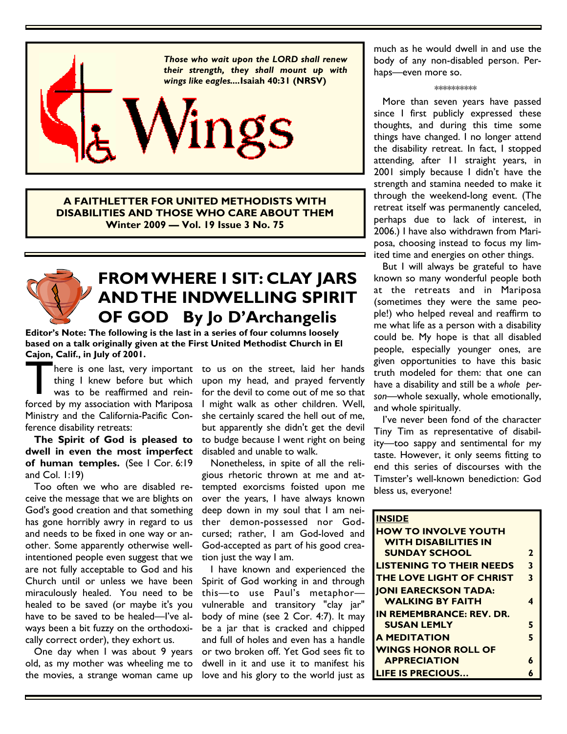

**A FAITHLETTER FOR UNITED METHODISTS WITH DISABILITIES AND THOSE WHO CARE ABOUT THEM Winter 2009 — Vol. 19 Issue 3 No. 75** 

# **FROM WHERE I SIT: CLAY JARS AND THE INDWELLING SPIRIT OF GOD By Jo D'Archangelis**

**Editor's Note: The following is the last in a series of four columns loosely based on a talk originally given at the First United Methodist Church in El Cajon, Calif., in July of 2001.** 

There is one last, very important<br>thing I knew before but which<br>was to be reaffirmed and rein-<br>forced by my association with Mariposa thing I knew before but which was to be reaffirmed and rein-Ministry and the California-Pacific Conference disability retreats:

 **The Spirit of God is pleased to dwell in even the most imperfect of human temples.** (See 1 Cor. 6:19 and Col. 1:19)

 Too often we who are disabled receive the message that we are blights on God's good creation and that something has gone horribly awry in regard to us and needs to be fixed in one way or another. Some apparently otherwise wellintentioned people even suggest that we are not fully acceptable to God and his Church until or unless we have been miraculously healed. You need to be healed to be saved (or maybe it's you have to be saved to be healed—I've always been a bit fuzzy on the orthodoxically correct order), they exhort us.

 One day when I was about 9 years old, as my mother was wheeling me to the movies, a strange woman came up

here is one last, very important to us on the street, laid her hands upon my head, and prayed fervently for the devil to come out of me so that I might walk as other children. Well, she certainly scared the hell out of me, but apparently she didn't get the devil to budge because I went right on being disabled and unable to walk.

> Nonetheless, in spite of all the religious rhetoric thrown at me and attempted exorcisms foisted upon me over the years, I have always known deep down in my soul that I am neither demon-possessed nor Godcursed; rather, I am God-loved and God-accepted as part of his good creation just the way I am.

 I have known and experienced the Spirit of God working in and through this—to use Paul's metaphor vulnerable and transitory "clay jar" body of mine (see 2 Cor. 4:7). It may be a jar that is cracked and chipped and full of holes and even has a handle or two broken off. Yet God sees fit to dwell in it and use it to manifest his love and his glory to the world just as

much as he would dwell in and use the body of any non-disabled person. Perhaps—even more so.

### \*\*\*\*\*\*\*\*\*\*

 More than seven years have passed since I first publicly expressed these thoughts, and during this time some things have changed. I no longer attend the disability retreat. In fact, I stopped attending, after 11 straight years, in 2001 simply because I didn't have the strength and stamina needed to make it through the weekend-long event. (The retreat itself was permanently canceled, perhaps due to lack of interest, in 2006.) I have also withdrawn from Mariposa, choosing instead to focus my limited time and energies on other things.

 But I will always be grateful to have known so many wonderful people both at the retreats and in Mariposa (sometimes they were the same people!) who helped reveal and reaffirm to me what life as a person with a disability could be. My hope is that all disabled people, especially younger ones, are given opportunities to have this basic truth modeled for them: that one can have a disability and still be a *whole person*—whole sexually, whole emotionally, and whole spiritually.

 I've never been fond of the character Tiny Tim as representative of disability—too sappy and sentimental for my taste. However, it only seems fitting to end this series of discourses with the Timster's well-known benediction: God bless us, everyone!

| <b>INSIDE</b>                   |   |
|---------------------------------|---|
| <b>HOW TO INVOLVE YOUTH</b>     |   |
| <b>WITH DISABILITIES IN</b>     |   |
| <b>SUNDAY SCHOOL</b>            | 2 |
| <b>LISTENING TO THEIR NEEDS</b> | 3 |
| THE LOVE LIGHT OF CHRIST        | 3 |
| <b>IONI EARECKSON TADA:</b>     |   |
| <b>WALKING BY FAITH</b>         | 4 |
| <b>IN REMEMBRANCE: REV. DR.</b> |   |
| <b>SUSAN LEMLY</b>              | 5 |
| <b>A MEDITATION</b>             | 5 |
| <b>WINGS HONOR ROLL OF</b>      |   |
| <b>APPRECIATION</b>             | 6 |
| <b>LIFE IS PRECIOUS</b>         | A |
|                                 |   |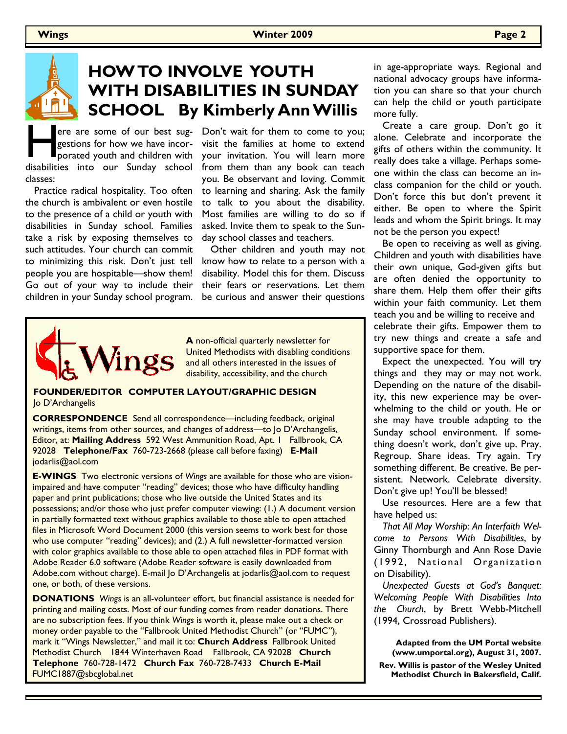

# **HOW TO INVOLVE YOUTH WITH DISABILITIES IN SUNDAY SCHOOL By Kimberly Ann Willis**

ere are some of our best suggestions for how we have incor-<br>porated youth and children with<br>disabilities into our Sunday school gestions for how we have incorporated youth and children with classes:

 Practice radical hospitality. Too often the church is ambivalent or even hostile to the presence of a child or youth with disabilities in Sunday school. Families take a risk by exposing themselves to such attitudes. Your church can commit to minimizing this risk. Don't just tell people you are hospitable—show them! Go out of your way to include their children in your Sunday school program.

ere are some of our best sug-Don't wait for them to come to you; visit the families at home to extend your invitation. You will learn more from them than any book can teach you. Be observant and loving. Commit to learning and sharing. Ask the family to talk to you about the disability. Most families are willing to do so if asked. Invite them to speak to the Sunday school classes and teachers.

> Other children and youth may not know how to relate to a person with a disability. Model this for them. Discuss their fears or reservations. Let them be curious and answer their questions



**A** non-official quarterly newsletter for United Methodists with disabling conditions and all others interested in the issues of disability, accessibility, and the church

**FOUNDER/EDITOR COMPUTER LAYOUT/GRAPHIC DESIGN**  Jo D'Archangelis

**CORRESPONDENCE** Send all correspondence—including feedback, original writings, items from other sources, and changes of address—to Jo D'Archangelis, Editor, at: **Mailing Address** 592 West Ammunition Road, Apt. 1 Fallbrook, CA 92028 **Telephone/Fax** 760-723-2668 (please call before faxing) **E-Mail**  jodarlis@aol.com

**E-WINGS** Two electronic versions of *Wings* are available for those who are visionimpaired and have computer "reading" devices; those who have difficulty handling paper and print publications; those who live outside the United States and its possessions; and/or those who just prefer computer viewing: (1.) A document version in partially formatted text without graphics available to those able to open attached files in Microsoft Word Document 2000 (this version seems to work best for those who use computer "reading" devices); and (2.) A full newsletter-formatted version with color graphics available to those able to open attached files in PDF format with Adobe Reader 6.0 software (Adobe Reader software is easily downloaded from Adobe.com without charge). E-mail Jo D'Archangelis at jodarlis@aol.com to request one, or both, of these versions.

**DONATIONS** *Wings* is an all-volunteer effort, but financial assistance is needed for printing and mailing costs. Most of our funding comes from reader donations. There are no subscription fees. If you think *Wings* is worth it, please make out a check or money order payable to the "Fallbrook United Methodist Church" (or "FUMC"), mark it "Wings Newsletter," and mail it to: **Church Address** Fallbrook United Methodist Church 1844 Winterhaven Road Fallbrook, CA 92028 **Church Telephone** 760-728-1472 **Church Fax** 760-728-7433 **Church E-Mail**  FUMC1887@sbcglobal.net

in age-appropriate ways. Regional and national advocacy groups have information you can share so that your church can help the child or youth participate more fully.

 Create a care group. Don't go it alone. Celebrate and incorporate the gifts of others within the community. It really does take a village. Perhaps someone within the class can become an inclass companion for the child or youth. Don't force this but don't prevent it either. Be open to where the Spirit leads and whom the Spirit brings. It may not be the person you expect!

 Be open to receiving as well as giving. Children and youth with disabilities have their own unique, God-given gifts but are often denied the opportunity to share them. Help them offer their gifts within your faith community. Let them teach you and be willing to receive and celebrate their gifts. Empower them to try new things and create a safe and supportive space for them.

 Expect the unexpected. You will try things and they may or may not work. Depending on the nature of the disability, this new experience may be overwhelming to the child or youth. He or she may have trouble adapting to the Sunday school environment. If something doesn't work, don't give up. Pray. Regroup. Share ideas. Try again. Try something different. Be creative. Be persistent. Network. Celebrate diversity. Don't give up! You'll be blessed!

 Use resources. Here are a few that have helped us:

 *That All May Worship: An Interfaith Welcome to Persons With Disabilities*, by Ginny Thornburgh and Ann Rose Davie (1992, National Organization on Disability).

 *Unexpected Guests at God's Banquet: Welcoming People With Disabilities Into the Church*, by Brett Webb-Mitchell (1994, Crossroad Publishers).

> **Adapted from the UM Portal website (www.umportal.org), August 31, 2007.**

 **Rev. Willis is pastor of the Wesley United Methodist Church in Bakersfield, Calif.**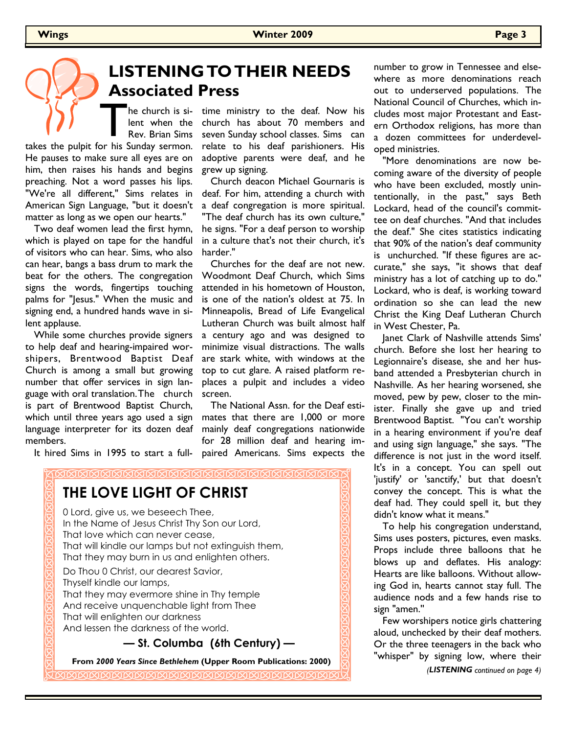# **LISTENING TO THEIR NEEDS Associated Press**

he church is silent when the Rev. Brian Sims

The church is silent when the Rev. Brian Sims takes the pulpit for his Sunday sermon. He pauses to make sure all eyes are on him, then raises his hands and begins preaching. Not a word passes his lips. "We're all different," Sims relates in American Sign Language, "but it doesn't matter as long as we open our hearts."

 Two deaf women lead the first hymn, which is played on tape for the handful of visitors who can hear. Sims, who also can hear, bangs a bass drum to mark the beat for the others. The congregation signs the words, fingertips touching palms for "Jesus." When the music and signing end, a hundred hands wave in silent applause.

 While some churches provide signers to help deaf and hearing-impaired worshipers, Brentwood Baptist Deaf Church is among a small but growing number that offer services in sign language with oral translation. The church is part of Brentwood Baptist Church, which until three years ago used a sign language interpreter for its dozen deaf members.

It hired Sims in 1995 to start a full-

time ministry to the deaf. Now his church has about 70 members and seven Sunday school classes. Sims can relate to his deaf parishioners. His adoptive parents were deaf, and he grew up signing.

 Church deacon Michael Gournaris is deaf. For him, attending a church with a deaf congregation is more spiritual. "The deaf church has its own culture," he signs. "For a deaf person to worship in a culture that's not their church, it's harder."

 Churches for the deaf are not new. Woodmont Deaf Church, which Sims attended in his hometown of Houston, is one of the nation's oldest at 75. In Minneapolis, Bread of Life Evangelical Lutheran Church was built almost half a century ago and was designed to minimize visual distractions. The walls are stark white, with windows at the top to cut glare. A raised platform replaces a pulpit and includes a video screen.

 The National Assn. for the Deaf estimates that there are 1,000 or more mainly deaf congregations nationwide for 28 million deaf and hearing impaired Americans. Sims expects the



number to grow in Tennessee and elsewhere as more denominations reach out to underserved populations. The National Council of Churches, which includes most major Protestant and Eastern Orthodox religions, has more than a dozen committees for underdeveloped ministries.

 "More denominations are now becoming aware of the diversity of people who have been excluded, mostly unintentionally, in the past," says Beth Lockard, head of the council's committee on deaf churches. "And that includes the deaf." She cites statistics indicating that 90% of the nation's deaf community is unchurched. "If these figures are accurate," she says, "it shows that deaf ministry has a lot of catching up to do." Lockard, who is deaf, is working toward ordination so she can lead the new Christ the King Deaf Lutheran Church in West Chester, Pa.

 Janet Clark of Nashville attends Sims' church. Before she lost her hearing to Legionnaire's disease, she and her husband attended a Presbyterian church in Nashville. As her hearing worsened, she moved, pew by pew, closer to the minister. Finally she gave up and tried Brentwood Baptist. "You can't worship in a hearing environment if you're deaf and using sign language," she says. "The difference is not just in the word itself. It's in a concept. You can spell out 'justify' or 'sanctify,' but that doesn't convey the concept. This is what the deaf had. They could spell it, but they didn't know what it means."

 To help his congregation understand, Sims uses posters, pictures, even masks. Props include three balloons that he blows up and deflates. His analogy: Hearts are like balloons. Without allowing God in, hearts cannot stay full. The audience nods and a few hands rise to sign "amen.''

 Few worshipers notice girls chattering aloud, unchecked by their deaf mothers. Or the three teenagers in the back who "whisper" by signing low, where their

*(LISTENING continued on page 4)*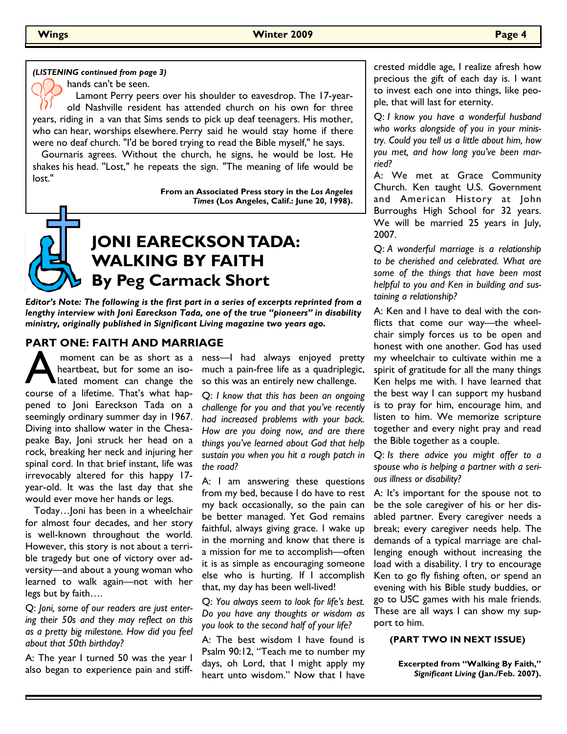### *(LISTENING continued from page 3)*

hands can't be seen.

 Lamont Perry peers over his shoulder to eavesdrop. The 17-yearold Nashville resident has attended church on his own for three years, riding in a van that Sims sends to pick up deaf teenagers. His mother, who can hear, worships elsewhere. Perry said he would stay home if there were no deaf church. "I'd be bored trying to read the Bible myself," he says.

 Gournaris agrees. Without the church, he signs, he would be lost. He shakes his head. ''Lost," he repeats the sign. "The meaning of life would be lost."

> **From an Associated Press story in the** *Los Angeles Times* **(Los Angeles, Calif.: June 20, 1998).**



*Editor's Note: The following is the first part in a series of excerpts reprinted from a lengthy interview with Joni Eareckson Tada, one of the true "pioneers" in disability ministry, originally published in Significant Living magazine two years ago.* 

### **PART ONE: FAITH AND MARRIAGE**

moment can be as short as a<br>heartbeat, but for some an iso-<br>lated moment can change the<br>course of a lifetime. That's what hap moment can be as short as a heartbeat, but for some an isolated moment can change the pened to Joni Eareckson Tada on a seemingly ordinary summer day in 1967. Diving into shallow water in the Chesapeake Bay, Joni struck her head on a rock, breaking her neck and injuring her spinal cord. In that brief instant, life was irrevocably altered for this happy 17 year-old. It was the last day that she would ever move her hands or legs.

 Today…Joni has been in a wheelchair for almost four decades, and her story is well-known throughout the world. However, this story is not about a terrible tragedy but one of victory over adversity—and about a young woman who learned to walk again—not with her legs but by faith….

Q: *Joni, some of our readers are just entering their 50s and they may reflect on this as a pretty big milestone. How did you feel about that 50th birthday?* 

A: The year I turned 50 was the year I also began to experience pain and stiffness—I had always enjoyed pretty much a pain-free life as a quadriplegic, so this was an entirely new challenge.

Q: *I know that this has been an ongoing challenge for you and that you've recently had increased problems with your back. How are you doing now, and are there things you've learned about God that help sustain you when you hit a rough patch in the road?* 

A: I am answering these questions from my bed, because I do have to rest my back occasionally, so the pain can be better managed. Yet God remains faithful, always giving grace. I wake up in the morning and know that there is a mission for me to accomplish—often it is as simple as encouraging someone else who is hurting. If I accomplish that, my day has been well-lived!

Q: *You always seem to look for life's best. Do you have any thoughts or wisdom as you look to the second half of your life?* 

A: The best wisdom I have found is Psalm 90:12, "Teach me to number my days, oh Lord, that I might apply my heart unto wisdom." Now that I have crested middle age, I realize afresh how precious the gift of each day is. I want to invest each one into things, like people, that will last for eternity.

Q: *I know you have a wonderful husband who works alongside of you in your ministry. Could you tell us a little about him, how you met, and how long you've been married?* 

A: We met at Grace Community Church. Ken taught U.S. Government and American History at John Burroughs High School for 32 years. We will be married 25 years in July, 2007.

Q: *A wonderful marriage is a relationship to be cherished and celebrated. What are some of the things that have been most helpful to you and Ken in building and sustaining a relationship?* 

A: Ken and I have to deal with the conflicts that come our way—the wheelchair simply forces us to be open and honest with one another. God has used my wheelchair to cultivate within me a spirit of gratitude for all the many things Ken helps me with. I have learned that the best way I can support my husband is to pray for him, encourage him, and listen to him. We memorize scripture together and every night pray and read the Bible together as a couple.

Q: *Is there advice you might offer to a spouse who is helping a partner with a serious illness or disability?* 

A: It's important for the spouse not to be the sole caregiver of his or her disabled partner. Every caregiver needs a break; every caregiver needs help. The demands of a typical marriage are challenging enough without increasing the load with a disability. I try to encourage Ken to go fly fishing often, or spend an evening with his Bible study buddies, or go to USC games with his male friends. These are all ways I can show my support to him.

### **(PART TWO IN NEXT ISSUE)**

**Excerpted from "Walking By Faith,"**  *Significant Living* **(Jan./Feb. 2007).**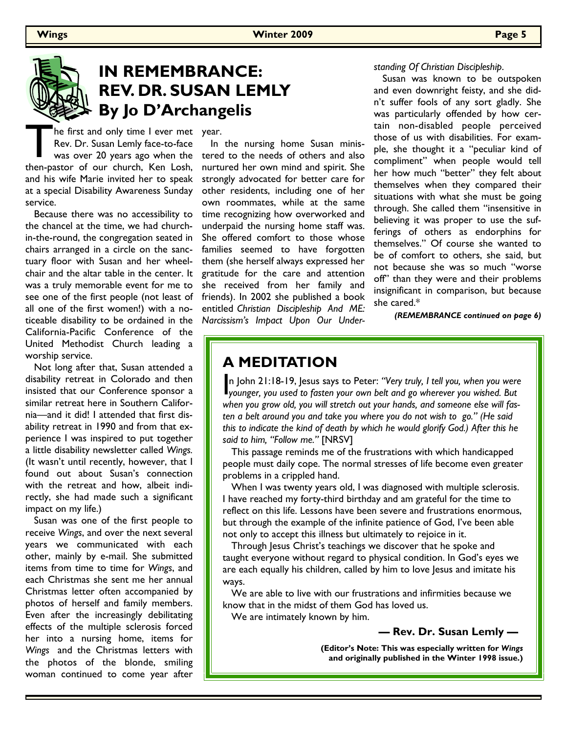

# **IN REMEMBRANCE: REV. DR. SUSAN LEMLY By Jo D'Archangelis**

The first and only time I ever met<br>Rev. Dr. Susan Lemly face-to-face<br>was over 20 years ago when the<br>then-pastor of our church, Ken Losh, he first and only time I ever met year. Rev. Dr. Susan Lemly face-to-face was over 20 years ago when the and his wife Marie invited her to speak at a special Disability Awareness Sunday service.

 Because there was no accessibility to the chancel at the time, we had churchin-the-round, the congregation seated in chairs arranged in a circle on the sanctuary floor with Susan and her wheelchair and the altar table in the center. It was a truly memorable event for me to see one of the first people (not least of all one of the first women!) with a noticeable disability to be ordained in the California-Pacific Conference of the United Methodist Church leading a worship service.

 Not long after that, Susan attended a disability retreat in Colorado and then insisted that our Conference sponsor a similar retreat here in Southern California—and it did! I attended that first disability retreat in 1990 and from that experience I was inspired to put together a little disability newsletter called *Wings.*  (It wasn't until recently, however, that I found out about Susan's connection with the retreat and how, albeit indirectly, she had made such a significant impact on my life.)

 Susan was one of the first people to receive *Wings*, and over the next several years we communicated with each other, mainly by e-mail. She submitted items from time to time for *Wings*, and each Christmas she sent me her annual Christmas letter often accompanied by photos of herself and family members. Even after the increasingly debilitating effects of the multiple sclerosis forced her into a nursing home, items for *Wings* and the Christmas letters with the photos of the blonde, smiling woman continued to come year after

 In the nursing home Susan ministered to the needs of others and also nurtured her own mind and spirit. She strongly advocated for better care for other residents, including one of her own roommates, while at the same time recognizing how overworked and underpaid the nursing home staff was. She offered comfort to those whose families seemed to have forgotten them (she herself always expressed her gratitude for the care and attention she received from her family and friends). In 2002 she published a book entitled *Christian Discipleship And ME: Narcissism's Impact Upon Our Under-*

### *standing Of Christian Discipleship*.

 Susan was known to be outspoken and even downright feisty, and she didn't suffer fools of any sort gladly. She was particularly offended by how certain non-disabled people perceived those of us with disabilities. For example, she thought it a "peculiar kind of compliment" when people would tell her how much "better" they felt about themselves when they compared their situations with what she must be going through. She called them "insensitive in believing it was proper to use the sufferings of others as endorphins for themselves." Of course she wanted to be of comfort to others, she said, but not because she was so much "worse off" than they were and their problems insignificant in comparison, but because she cared.\*

*(REMEMBRANCE continued on page 6)*

## **A MEDITATION**

In John 21:18-19, Jesus says to Peter: "Very truly, I tell you, when you were<br>younger, you used to fasten your own belt and go wherever you wished. But n John 21:18-19, Jesus says to Peter: *"Very truly, I tell you, when you were when you grow old, you will stretch out your hands, and someone else will fasten a belt around you and take you where you do not wish to go." (He said this to indicate the kind of death by which he would glorify God.) After this he said to him, "Follow me."* [NRSV]

 This passage reminds me of the frustrations with which handicapped people must daily cope. The normal stresses of life become even greater problems in a crippled hand.

 When I was twenty years old, I was diagnosed with multiple sclerosis. I have reached my forty-third birthday and am grateful for the time to reflect on this life. Lessons have been severe and frustrations enormous, but through the example of the infinite patience of God, I've been able not only to accept this illness but ultimately to rejoice in it.

Through Jesus Christ's teachings we discover that he spoke and taught everyone without regard to physical condition. In God's eyes we are each equally his children, called by him to love Jesus and imitate his ways.

 We are able to live with our frustrations and infirmities because we know that in the midst of them God has loved us.

We are intimately known by him.

 **— Rev. Dr. Susan Lemly —**

**(Editor's Note: This was especially written for** *Wings*  **and originally published in the Winter 1998 issue.)**